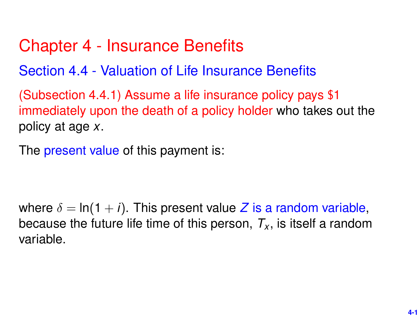# Chapter 4 - Insurance Benefits

Section 4.4 - Valuation of Life Insurance Benefits

(Subsection 4.4.1) Assume a life insurance policy pays \$1 immediately upon the death of a policy holder who takes out the policy at age *x*.

The present value of this payment is:

where  $\delta = \ln(1 + i)$ . This present value Z is a random variable, because the future life time of this person,  $T<sub>x</sub>$ , is itself a random variable.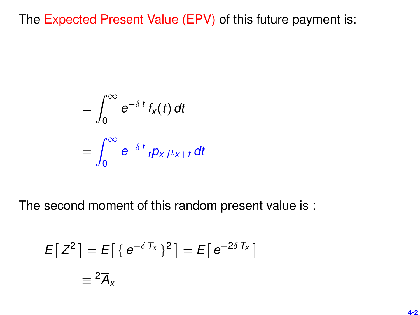The Expected Present Value (EPV) of this future payment is:

$$
= \int_0^\infty e^{-\delta t} f_x(t) dt
$$

$$
= \int_0^\infty e^{-\delta t} t p_x \mu_{x+t} dt
$$

The second moment of this random present value is :

$$
E[Z^2] = E[\{e^{-\delta T_x}\}^2] = E[e^{-2\delta T_x}]
$$

$$
\equiv {}^2\overline{A}_x
$$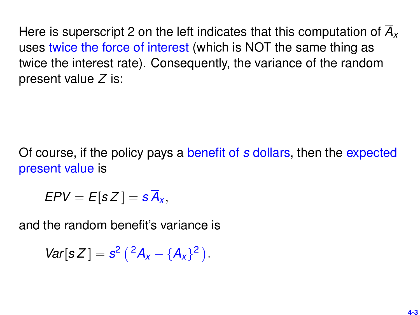Here is superscript 2 on the left indicates that this computation of *A<sup>x</sup>* uses twice the force of interest (which is NOT the same thing as twice the interest rate). Consequently, the variance of the random present value *Z* is:

Of course, if the policy pays a benefit of *s* dollars, then the expected present value is

 $EPV = E[sZ] = s\overline{A}_x$ 

and the random benefit's variance is

 $Var[sZ] = s^2 \left( \frac{2 \overline{A}_x}{4} - \{\overline{A}_x\}^2 \right).$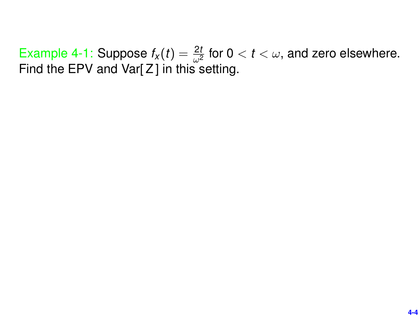Example 4-1: Suppose  $f_{\lambda}(t) = \frac{2t}{\omega^2}$  for  $0 < t < \omega$ , and zero elsewhere. Find the EPV and Var[ Z ] in this setting.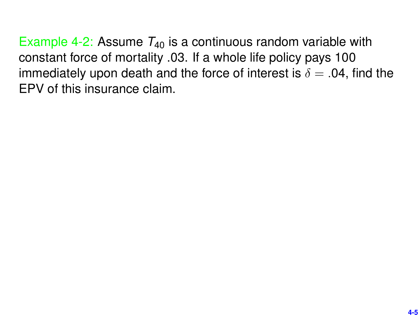Example 4-2: Assume  $T_{40}$  is a continuous random variable with constant force of mortality .03. If a whole life policy pays 100 immediately upon death and the force of interest is  $\delta = .04$ , find the EPV of this insurance claim.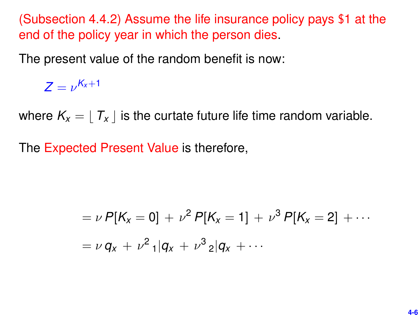(Subsection 4.4.2) Assume the life insurance policy pays \$1 at the end of the policy year in which the person dies.

The present value of the random benefit is now:

 $Z = \nu^{K_x+1}$ 

where  $K_x = |T_x|$  is the curtate future life time random variable.

The Expected Present Value is therefore,

$$
= \nu P[K_x = 0] + \nu^2 P[K_x = 1] + \nu^3 P[K_x = 2] + \cdots
$$

$$
= \nu q_x + \nu^2 |q_x + \nu^3| |q_x + \cdots
$$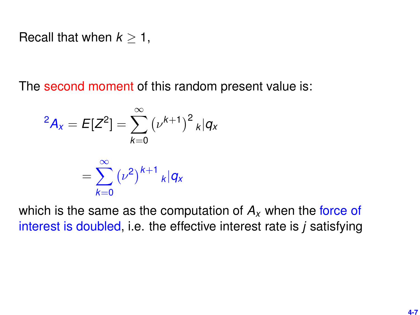Recall that when 
$$
k \geq 1
$$
,

The second moment of this random present value is:

$$
{}^{2}A_{x} = E[Z^{2}] = \sum_{k=0}^{\infty} (\nu^{k+1})^{2} k |q_{x}
$$

$$
= \sum_{k=0}^{\infty} (\nu^{2})^{k+1} k |q_{x}
$$

which is the same as the computation of  $A<sub>x</sub>$  when the force of interest is doubled, i.e. the effective interest rate is *j* satisfying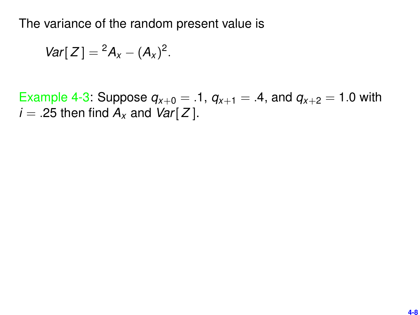The variance of the random present value is

$$
Var[Z] = {}^2A_x - (A_x)^2.
$$

Example 4-3: Suppose  $q_{x+0} = .1$ ,  $q_{x+1} = .4$ , and  $q_{x+2} = 1.0$  with  $i = .25$  then find  $A_x$  and  $Var[Z]$ .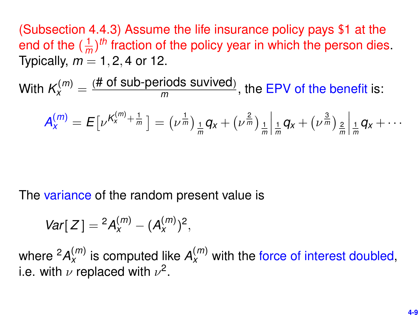(Subsection 4.4.3) Assume the life insurance policy pays \$1 at the end of the ( $\frac{1}{n}$  $\frac{1}{m}$ )<sup>th</sup> fraction of the policy year in which the person dies. Typically,  $m = 1, 2, 4$  or 12.

With  $\mathcal{K}_{\mathsf{x}}^{(m)}=\frac{(\text{\# of sub-periods survived})}{m}$  $\frac{1000}{m}$ , the EPV of the benefit is:  $\mathcal{A}^{(m)}_{\chi} = E\big[\nu^{K^{(m)}_{\chi} + \frac{1}{m}}\big] = \big(\nu^{\frac{1}{m}}\big)_{\frac{1}{m}} q_{\chi} + \big(\nu^{\frac{2}{m}}\big)_{\frac{1}{m}}$  $\int_{\frac{1}{m}} q_x + (\nu^{\frac{3}{m}})_{\frac{2}{m}}$  $\Big|_{\frac{1}{m}} q_x + \cdots$ 

The variance of the random present value is

$$
Var[Z] = {}^{2}A_{x}^{(m)} - (A_{x}^{(m)})^{2},
$$

where  ${}^2A_{\scriptscriptstyle X}^{(m)}$  is computed like  $A_{\scriptscriptstyle X}^{(m)}$  with the force of interest doubled, i.e. with  $\nu$  replaced with  $\nu^2.$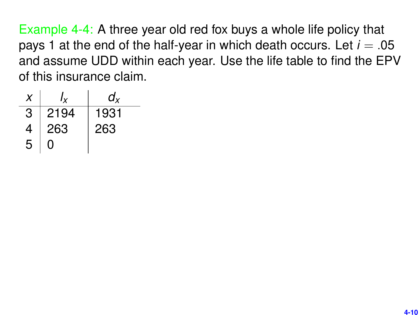Example 4-4: A three year old red fox buys a whole life policy that pays 1 at the end of the half-year in which death occurs. Let  $i = .05$ and assume UDD within each year. Use the life table to find the EPV of this insurance claim.

| X | Iv   | d <sub>v</sub> |
|---|------|----------------|
| 3 | 2194 | 1931           |
| 4 | 263  | 263            |
| 5 | 0    |                |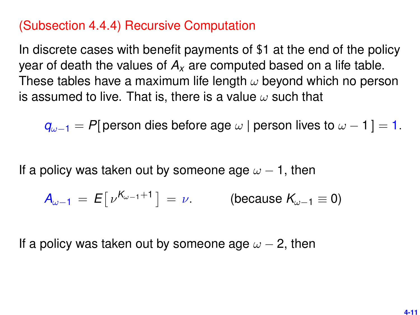### (Subsection 4.4.4) Recursive Computation

In discrete cases with benefit payments of \$1 at the end of the policy year of death the values of *A<sup>x</sup>* are computed based on a life table. These tables have a maximum life length  $\omega$  beyond which no person is assumed to live. That is, there is a value  $\omega$  such that

 $q_{\omega-1} = P$ [ person dies before age  $\omega$  | person lives to  $\omega - 1$ ] = 1.

If a policy was taken out by someone age  $\omega - 1$ , then

$$
A_{\omega-1} = E[\nu^{K_{\omega-1}+1}] = \nu.
$$
 (because  $K_{\omega-1} \equiv 0$ )

If a policy was taken out by someone age  $\omega$  – 2, then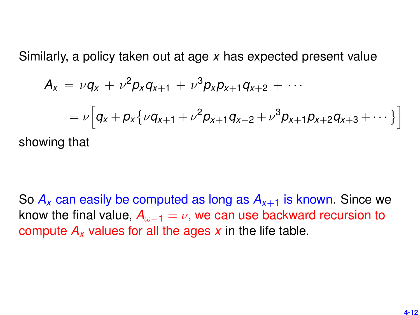Similarly, a policy taken out at age *x* has expected present value

$$
A_x = \nu q_x + \nu^2 p_x q_{x+1} + \nu^3 p_x p_{x+1} q_{x+2} + \cdots
$$
  
=  $\nu \left[ q_x + p_x \{ \nu q_{x+1} + \nu^2 p_{x+1} q_{x+2} + \nu^3 p_{x+1} p_{x+2} q_{x+3} + \cdots \} \right]$   
showing that

So  $A_x$  can easily be computed as long as  $A_{x+1}$  is known. Since we know the final value,  $A_{n-1} = \nu$ , we can use backward recursion to compute  $A_x$  values for all the ages  $x$  in the life table.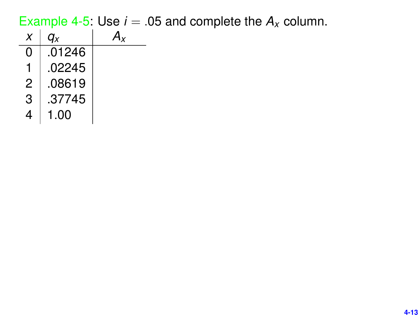| O | .01246 |  |
|---|--------|--|
|   | .02245 |  |
| 2 | .08619 |  |
| 3 | .37745 |  |
| 4 | 1.00   |  |

Example 4-5: Use  $i = .05$  and complete the  $A_x$  column.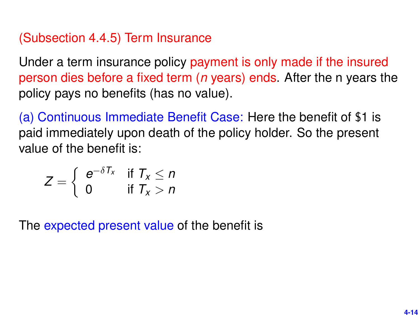(Subsection 4.4.5) Term Insurance

Under a term insurance policy payment is only made if the insured person dies before a fixed term (*n* years) ends. After the n years the policy pays no benefits (has no value).

(a) Continuous Immediate Benefit Case: Here the benefit of \$1 is paid immediately upon death of the policy holder. So the present value of the benefit is:

$$
Z = \left\{ \begin{array}{ll} e^{-\delta T_x} & \text{if } T_x \le n \\ 0 & \text{if } T_x > n \end{array} \right.
$$

The expected present value of the benefit is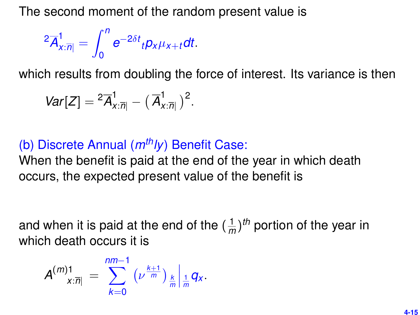The second moment of the random present value is

$$
{}^2\overline{A}_{x:\overline{\eta}}^1=\int_0^{\eta}e^{-2\delta t}{}_{t}\rho_x\mu_{x+t}dt.
$$

which results from doubling the force of interest. Its variance is then

$$
Var[Z] = {}^2\overline{A}_{x:\overline{n}|}^1 - (\overline{A}_{x:\overline{n}|}^1)^2.
$$

# (b) Discrete Annual (*mthly*) Benefit Case:

When the benefit is paid at the end of the year in which death occurs, the expected present value of the benefit is

and when it is paid at the end of the ( $\frac{1}{n}$ *m* ) *th* portion of the year in which death occurs it is

$$
A^{(m)1}_{x:\overline{n}|} = \sum_{k=0}^{nm-1} \left(\nu^{\frac{k+1}{m}}\right)_{\frac{k}{m}} \left| \frac{1}{m} q_{x} \right|.
$$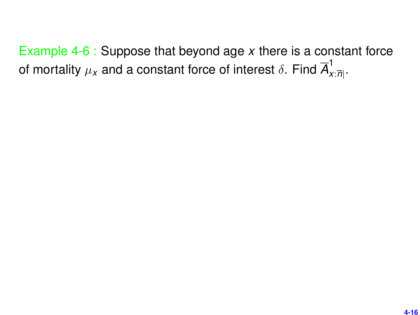Example 4-6 : Suppose that beyond age *x* there is a constant force of mortality  $\mu_\mathsf{X}$  and a constant force of interest  $\delta.$  Find  $\overline{\mathsf{A}}_\mathsf{X}^\mathsf{1}$ *x*:*n*| .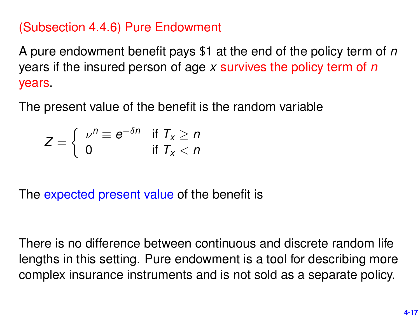## (Subsection 4.4.6) Pure Endowment

A pure endowment benefit pays \$1 at the end of the policy term of *n* years if the insured person of age *x* survives the policy term of *n* years.

The present value of the benefit is the random variable

$$
Z = \left\{ \begin{array}{ll} \nu^n \equiv e^{-\delta n} & \text{if } T_x \ge n \\ 0 & \text{if } T_x < n \end{array} \right.
$$

The expected present value of the benefit is

There is no difference between continuous and discrete random life lengths in this setting. Pure endowment is a tool for describing more complex insurance instruments and is not sold as a separate policy.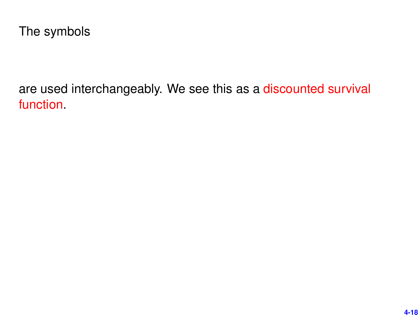The symbols

are used interchangeably. We see this as a discounted survival function.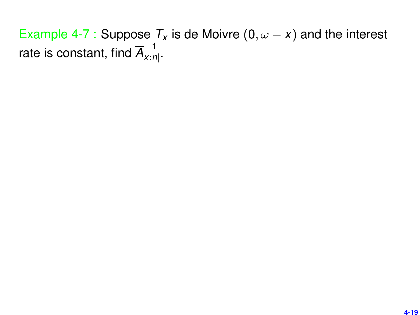Example 4-7 : Suppose  $T_x$  is de Moivre  $(0, \omega - x)$  and the interest rate is constant, find  $\overline{A}_{\text{x}:\overline{n}}^{\ \ 1}$ *x*:*n*| .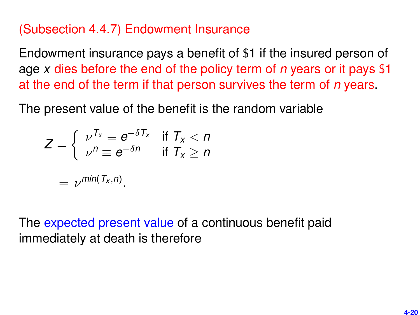#### (Subsection 4.4.7) Endowment Insurance

Endowment insurance pays a benefit of \$1 if the insured person of age *x* dies before the end of the policy term of *n* years or it pays \$1 at the end of the term if that person survives the term of *n* years.

The present value of the benefit is the random variable

$$
Z = \begin{cases} \nu^{T_x} \equiv e^{-\delta T_x} & \text{if } T_x < n \\ \nu^n \equiv e^{-\delta n} & \text{if } T_x \ge n \end{cases}
$$

$$
= \nu^{\min(T_x, n)}.
$$

The expected present value of a continuous benefit paid immediately at death is therefore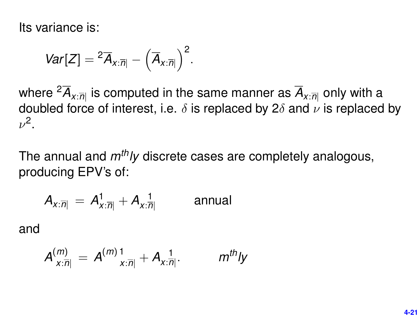Its variance is:

$$
Var[Z] = {}^2 \overline{A}_{x:\overline{n}|} - \left(\overline{A}_{x:\overline{n}|}\right)^2.
$$

where <sup>2</sup>*Ax*:*n*<sup>|</sup> is computed in the same manner as *Ax*:*n*<sup>|</sup> only with a doubled force of interest, i.e.  $\delta$  is replaced by  $2\delta$  and  $\nu$  is replaced by  $\nu^2$ .

The annual and *mthly* discrete cases are completely analogous, producing EPV's of:

$$
A_{x:\overline{n}|} = A_{x:\overline{n}|}^1 + A_{x:\overline{n}|} \qquad \text{annual}
$$

and

$$
A_{x:\overline{n}|}^{(m)} = A_{x:\overline{n}|}^{(m)} + A_{x:\overline{n}|}. \hspace{1cm} m^{th}/y
$$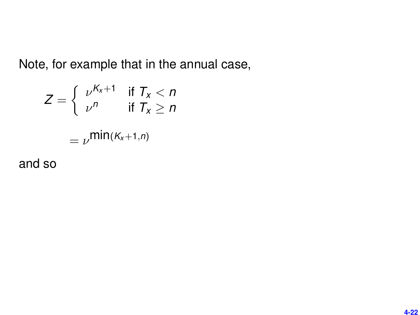Note, for example that in the annual case,

$$
Z = \begin{cases} \nu^{K_x+1} & \text{if } T_x < n \\ \nu^n & \text{if } T_x \ge n \end{cases}
$$

$$
= \nu^{\min(K_x+1, n)}
$$

and so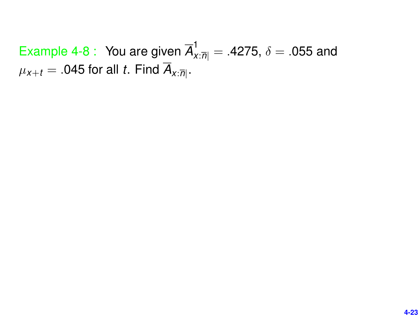Example 4-8 : You are given  $\overline{A}_{x:\overline{\eta}}^1 = .4275$ ,  $\delta = .055$  and  $\mu_{\mathsf{x}+t} = .$ 045 for all *t*. Find  $\bm{A}_{\mathsf{x}:\overline{n}|}.$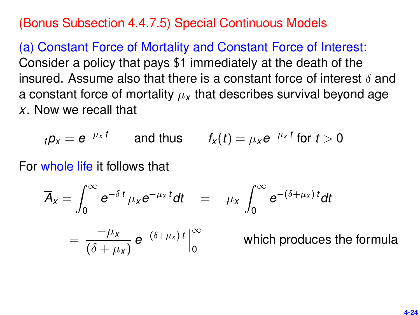#### (Bonus Subsection 4.4.7.5) Special Continuous Models

(a) Constant Force of Mortality and Constant Force of Interest: Consider a policy that pays \$1 immediately at the death of the insured. Assume also that there is a constant force of interest  $\delta$  and a constant force of mortality  $\mu_X$  that describes survival beyond age *x*. Now we recall that

$$
t p_x = e^{-\mu_x t}
$$
 and thus  $t_x(t) = \mu_x e^{-\mu_x t}$  for  $t > 0$ 

For whole life it follows that

$$
\overline{A}_x = \int_0^\infty e^{-\delta t} \mu_x e^{-\mu_x t} dt = \mu_x \int_0^\infty e^{-(\delta + \mu_x) t} dt
$$
  
=  $\frac{-\mu_x}{(\delta + \mu_x)} e^{-(\delta + \mu_x) t} \Big|_0^\infty$  which produces the formula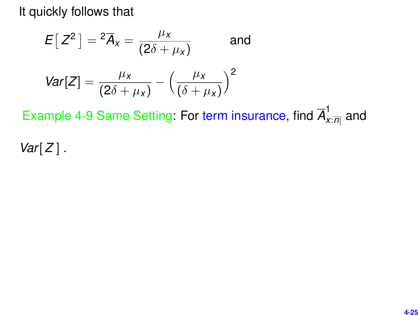It quickly follows that

$$
E[Z^2] = {^2\overline{A}_x} = \frac{\mu_x}{(2\delta + \mu_x)}
$$
 and  

$$
Var[Z] = \frac{\mu_x}{(2\delta + \mu_x)} - \left(\frac{\mu_x}{(\delta + \mu_x)}\right)^2
$$

Example 4-9 Same Setting: For term insurance, find *A* 1 *<sup>x</sup>*:*n*<sup>|</sup> and

*Var*[ *Z* ] .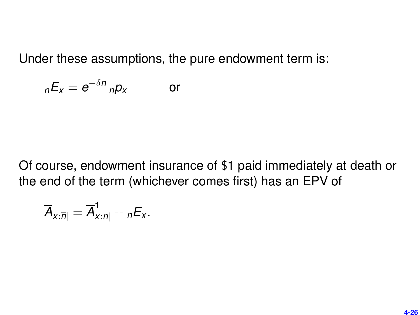Under these assumptions, the pure endowment term is:

$$
{}_{n}E_{x}=e^{-\delta n}{}_{n}p_{x}
$$
 or

Of course, endowment insurance of \$1 paid immediately at death or the end of the term (whichever comes first) has an EPV of

$$
\overline{A}_{x:\overline{n}|}=\overline{A}_{x:\overline{n}|}^1 + {}_nE_x.
$$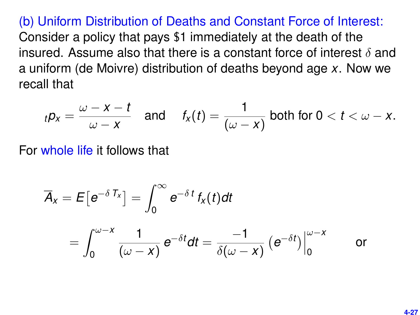(b) Uniform Distribution of Deaths and Constant Force of Interest: Consider a policy that pays \$1 immediately at the death of the insured. Assume also that there is a constant force of interest  $\delta$  and a uniform (de Moivre) distribution of deaths beyond age *x*. Now we recall that

$$
t p_x = \frac{\omega - x - t}{\omega - x} \quad \text{and} \quad f_x(t) = \frac{1}{(\omega - x)} \text{ both for } 0 < t < \omega - x.
$$

For whole life it follows that

$$
\overline{A}_x = E[e^{-\delta T_x}] = \int_0^\infty e^{-\delta t} f_x(t) dt
$$

$$
= \int_0^{\omega - x} \frac{1}{(\omega - x)} e^{-\delta t} dt = \frac{-1}{\delta(\omega - x)} (e^{-\delta t}) \Big|_0^{\omega - x} \quad \text{or} \quad
$$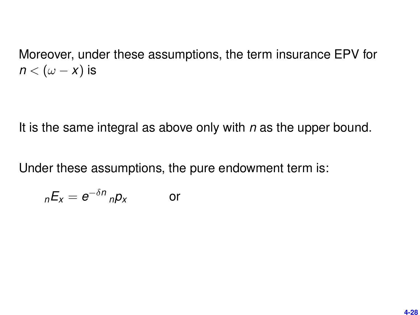Moreover, under these assumptions, the term insurance EPV for  $n < (\omega - x)$  is

It is the same integral as above only with *n* as the upper bound.

Under these assumptions, the pure endowment term is:

$$
{}_{n}E_{x}=e^{-\delta n} {}_{n}p_{x}
$$
 or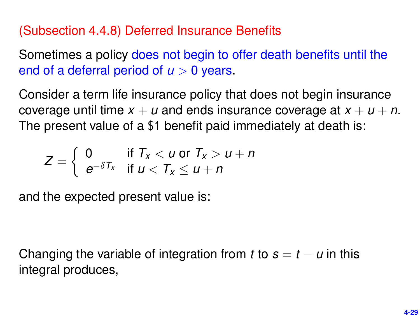#### (Subsection 4.4.8) Deferred Insurance Benefits

Sometimes a policy does not begin to offer death benefits until the end of a deferral period of *u* > 0 years.

Consider a term life insurance policy that does not begin insurance coverage until time  $x + u$  and ends insurance coverage at  $x + u + n$ . The present value of a \$1 benefit paid immediately at death is:

$$
Z = \left\{ \begin{array}{ll} 0 & \text{if } T_x < u \text{ or } T_x > u + n \\ e^{-\delta T_x} & \text{if } u < T_x \le u + n \end{array} \right.
$$

and the expected present value is:

Changing the variable of integration from *t* to  $s = t - u$  in this integral produces,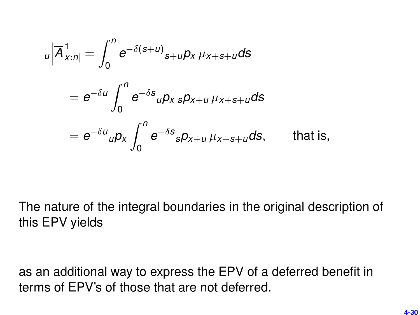$$
u | \overline{A}_{x:\overline{n}|}^1 = \int_0^n e^{-\delta(s+u)} s + u \rho_x \mu_{x+s+u} ds
$$
  
=  $e^{-\delta u} \int_0^n e^{-\delta s} u \rho_x s \rho_{x+u} \mu_{x+s+u} ds$   
=  $e^{-\delta u} u \rho_x \int_0^n e^{-\delta s} s \rho_{x+u} \mu_{x+s+u} ds$ , that is,

The nature of the integral boundaries in the original description of this EPV yields

as an additional way to express the EPV of a deferred benefit in terms of EPV's of those that are not deferred.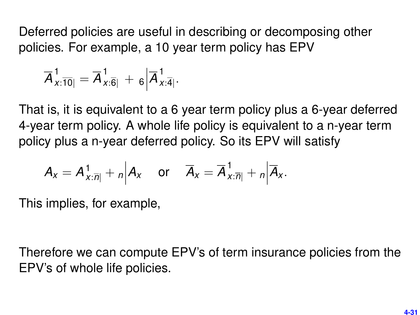Deferred policies are useful in describing or decomposing other policies. For example, a 10 year term policy has EPV

$$
\overline{A}_{x:\overline{10}|}^1 = \overline{A}_{x:\overline{6}|}^1 + 6 \Big| \overline{A}_{x:\overline{4}|}^1.
$$

That is, it is equivalent to a 6 year term policy plus a 6-year deferred 4-year term policy. A whole life policy is equivalent to a n-year term policy plus a n-year deferred policy. So its EPV will satisfy

$$
A_x = A_{x:\overline{n}|}^1 + n \Big| A_x
$$
 or  $\overline{A}_x = \overline{A}_{x:\overline{n}|}^1 + n \Big| \overline{A}_x$ .

This implies, for example,

Therefore we can compute EPV's of term insurance policies from the EPV's of whole life policies.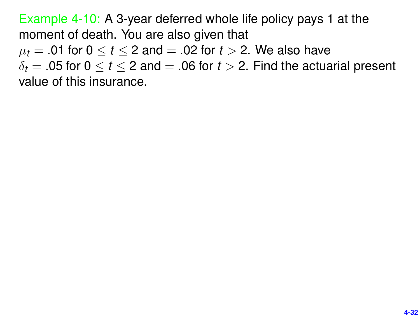Example 4-10: A 3-year deferred whole life policy pays 1 at the moment of death. You are also given that

 $\mu_t = .01$  for  $0 \le t \le 2$  and  $= .02$  for  $t > 2$ . We also have

 $\delta_t = .05$  for  $0 \le t \le 2$  and  $= .06$  for  $t > 2$ . Find the actuarial present value of this insurance.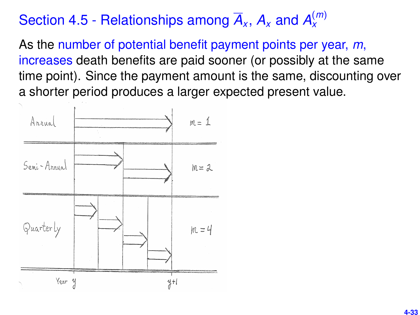#### Section 4.5 - Relationships among  $\overline{A}_x$ ,  $A_x$  and  $A_x^{(m)}$ *x*

As the number of potential benefit payment points per year, *m*, increases death benefits are paid sooner (or possibly at the same time point). Since the payment amount is the same, discounting over a shorter period produces a larger expected present value.

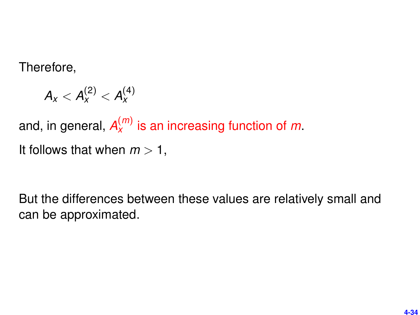Therefore,

$$
A_x < A_x^{(2)} < A_x^{(4)}
$$

and, in general, *A* (*m*) *x* is an increasing function of *m*. It follows that when  $m > 1$ ,

But the differences between these values are relatively small and can be approximated.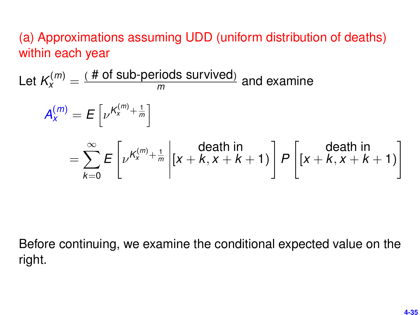# (a) Approximations assuming UDD (uniform distribution of deaths) within each year

Let 
$$
K_x^{(m)} = \frac{p^{\#} \text{ of sub-periods survived}}{m}
$$
 and examine  
\n
$$
A_x^{(m)} = E\left[\nu^{K_x^{(m)} + \frac{1}{m}}\right]
$$
\n
$$
= \sum_{k=0}^{\infty} E\left[\nu^{K_x^{(m)} + \frac{1}{m}} \left| \left[x + k, x + k + 1\right]\right] P\left[\left[x + k, x + k + 1\right]\right]
$$

Before continuing, we examine the conditional expected value on the right.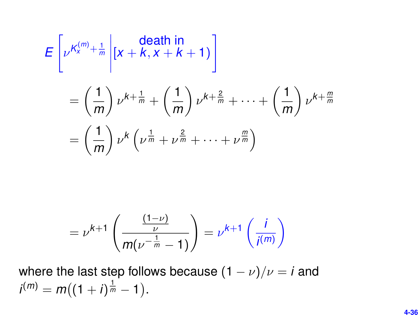$$
E\left[\nu^{K_{x}^{(m)}+\frac{1}{m}}\left| \left[x+k,x+k+1\right)\right]\right]
$$
  
=\left(\frac{1}{m}\right)\nu^{k+\frac{1}{m}}+\left(\frac{1}{m}\right)\nu^{k+\frac{2}{m}}+\cdots+\left(\frac{1}{m}\right)\nu^{k+\frac{m}{m}}  
=\left(\frac{1}{m}\right)\nu^{k}\left(\nu^{\frac{1}{m}}+\nu^{\frac{2}{m}}+\cdots+\nu^{\frac{m}{m}}\right)

$$
= \nu^{k+1} \left( \frac{\frac{(1-\nu)}{\nu}}{m(\nu^{-\frac{1}{m}} - 1)} \right) = \nu^{k+1} \left( \frac{i}{i^{(m)}} \right)
$$

where the last step follows because  $(1 - \nu)/\nu = i$  and  $i^{(m)} = m((1+i)^{\frac{1}{m}} - 1).$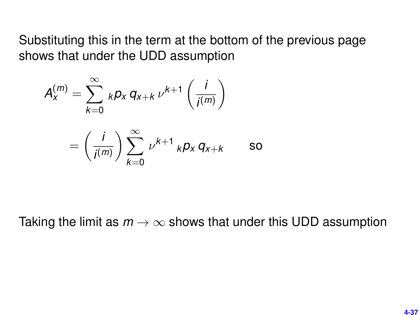Substituting this in the term at the bottom of the previous page shows that under the UDD assumption

$$
A_x^{(m)} = \sum_{k=0}^{\infty} \, _k p_x \, q_{x+k} \, \nu^{k+1} \left( \frac{i}{i^{(m)}} \right)
$$

$$
= \left( \frac{i}{i^{(m)}} \right) \sum_{k=0}^{\infty} \, \nu^{k+1} \, _k p_x \, q_{x+k} \qquad \text{so}
$$

Taking the limit as  $m \to \infty$  shows that under this UDD assumption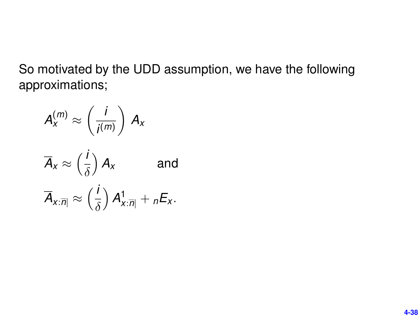So motivated by the UDD assumption, we have the following approximations;

$$
A_x^{(m)} \approx \left(\frac{i}{i^{(m)}}\right) A_x
$$
  

$$
\overline{A}_x \approx \left(\frac{i}{\delta}\right) A_x
$$
 and  

$$
\overline{A}_{x:\overline{n}|} \approx \left(\frac{i}{\delta}\right) A_{x:\overline{n}|}^1 + {}_nE_x.
$$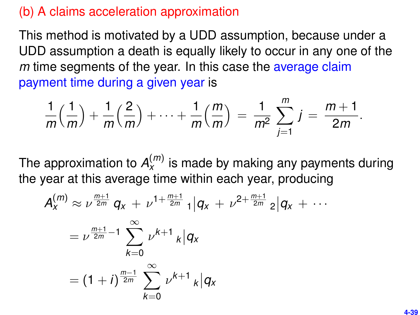#### (b) A claims acceleration approximation

This method is motivated by a UDD assumption, because under a UDD assumption a death is equally likely to occur in any one of the *m* time segments of the year. In this case the average claim payment time during a given year is

$$
\frac{1}{m}\left(\frac{1}{m}\right)+\frac{1}{m}\left(\frac{2}{m}\right)+\cdots+\frac{1}{m}\left(\frac{m}{m}\right)=\frac{1}{m^2}\sum_{j=1}^{m}j=\frac{m+1}{2m}.
$$

The approximation to  $A_{x}^{(m)}$  is made by making any payments during the year at this average time within each year, producing

$$
A_{X}^{(m)} \approx \nu^{\frac{m+1}{2m}} q_{X} + \nu^{1+\frac{m+1}{2m}} 1 |q_{X} + \nu^{2+\frac{m+1}{2m}} 2 |q_{X} + \cdots
$$
  
=  $\nu^{\frac{m+1}{2m}-1} \sum_{k=0}^{\infty} \nu^{k+1} k |q_{X}$   
=  $(1+i)^{\frac{m-1}{2m}} \sum_{k=0}^{\infty} \nu^{k+1} k |q_{X}$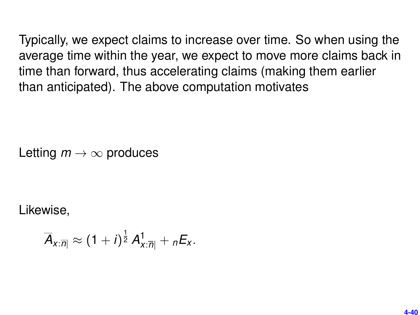Typically, we expect claims to increase over time. So when using the average time within the year, we expect to move more claims back in time than forward, thus accelerating claims (making them earlier than anticipated). The above computation motivates

Letting  $m \to \infty$  produces

Likewise,

$$
\overline{A}_{x:\overline{n}|} \approx (1+i)^{\frac{1}{2}} A_{x:\overline{n}|}^1 + {}_nE_x.
$$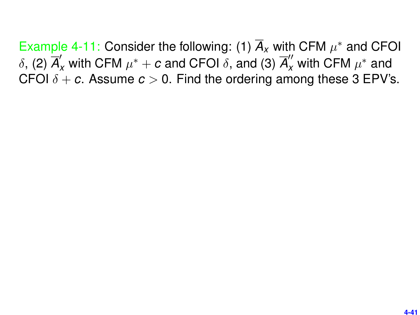Example 4-11: Consider the following: (1)  $\overline{A}_x$  with CFM  $\mu^*$  and CFOI  $\delta$ , (2)  $\overline{A}'_x$  with CFM  $\mu^* + c$  and CFOI  $\delta$ , and (3)  $\overline{A}''_x$  with CFM  $\mu^*$  and CFOI  $\delta$  + *c*. Assume *c* > 0. Find the ordering among these 3 EPV's.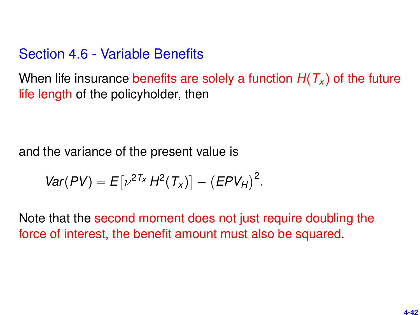Section 4.6 - Variable Benefits

When life insurance benefits are solely a function  $H(T_x)$  of the future life length of the policyholder, then

and the variance of the present value is

$$
Var(PV) = E[v^{2T_x} H^2(T_x)] - (EPV_H)^2.
$$

Note that the second moment does not just require doubling the force of interest, the benefit amount must also be squared.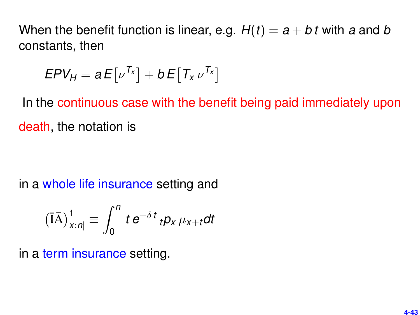When the benefit function is linear, e.g.  $H(t) = a + bt$  with *a* and *b* constants, then

$$
EPV_H = aE[\nu^{T_x}] + bE[T_x \nu^{T_x}]
$$

In the continuous case with the benefit being paid immediately upon death, the notation is

in a whole life insurance setting and

$$
\left(\overline{I}\overline{A}\right)^{1}_{x:\overline{n}|} \equiv \int_{0}^{n} t e^{-\delta t} t p_{x} \mu_{x+t} dt
$$

in a term insurance setting.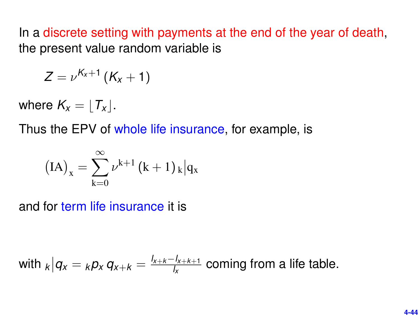In a discrete setting with payments at the end of the year of death, the present value random variable is

$$
Z=\nu^{K_X+1}\left(K_X+1\right)
$$

where  $K_x = |T_x|$ .

Thus the EPV of whole life insurance, for example, is

$$
\left(IA\right)_x = \sum_{k=0}^\infty \nu^{k+1}\left(k+1\right)_k\big|q_x
$$

and for term life insurance it is

 ${\sf with}$   $_k|q_x = kq_x q_{x+k} = \frac{l_{x+k}-l_{x+k+1}}{l_x}$  $\frac{7x+k+1}{l_x}$  coming from a life table.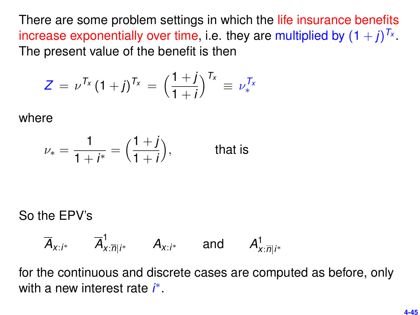There are some problem settings in which the life insurance benefits increase exponentially over time, i.e. they are multiplied by  $(1+j)^{T_X}$ . The present value of the benefit is then

$$
Z = \nu^{T_X} (1+j)^{T_X} = \left(\frac{1+j}{1+i}\right)^{T_X} \equiv \nu^{T_X}_*
$$

where

$$
\nu_* = \frac{1}{1+i^*} = \Big(\frac{1+j}{1+i}\Big), \qquad \text{that is}
$$

So the EPV's

$$
\overline{A}_{x:i^*} \qquad \overline{A}_{x:\overline{n}|i^*}^1 \qquad A_{x:i^*} \qquad \text{and} \qquad A_{x:\overline{n}|i^*}
$$

for the continuous and discrete cases are computed as before, only with a new interest rate *i* ∗ .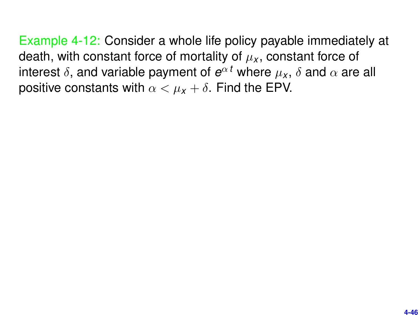Example 4-12: Consider a whole life policy payable immediately at death, with constant force of mortality of  $\mu_X$ , constant force of interest  $\delta,$  and variable payment of  $e^{\alpha\,t}$  where  $\mu_{\mathsf{x}},\,\delta$  and  $\alpha$  are all positive constants with  $\alpha < \mu_{x} + \delta$ . Find the EPV.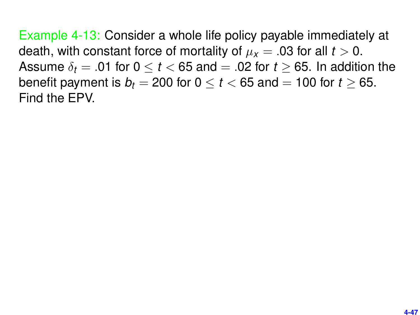Example 4-13: Consider a whole life policy payable immediately at death, with constant force of mortality of  $\mu_x = .03$  for all  $t > 0$ . Assume  $\delta_t = .01$  for  $0 \le t \le 65$  and  $= .02$  for  $t > 65$ . In addition the benefit payment is  $b_t = 200$  for  $0 \le t \le 65$  and  $t = 100$  for  $t > 65$ . Find the EPV.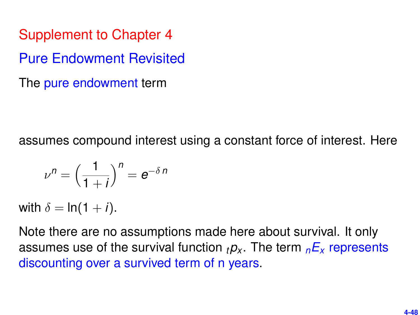Supplement to Chapter 4 Pure Endowment Revisited The pure endowment term

assumes compound interest using a constant force of interest. Here

$$
\nu^n = \left(\frac{1}{1+i}\right)^n = e^{-\delta n}
$$

with  $\delta = \ln(1 + i)$ .

Note there are no assumptions made here about survival. It only assumes use of the survival function  $t p_x$ . The term  $n E_x$  represents discounting over a survived term of n years.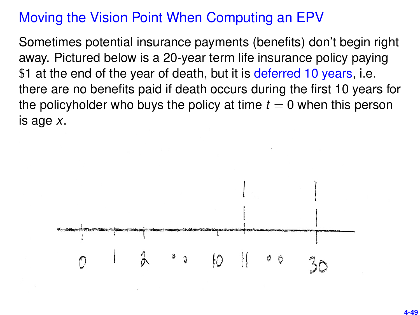# Moving the Vision Point When Computing an EPV

Sometimes potential insurance payments (benefits) don't begin right away. Pictured below is a 20-year term life insurance policy paying \$1 at the end of the year of death, but it is deferred 10 years, i.e. there are no benefits paid if death occurs during the first 10 years for the policyholder who buys the policy at time  $t = 0$  when this person is age *x*.

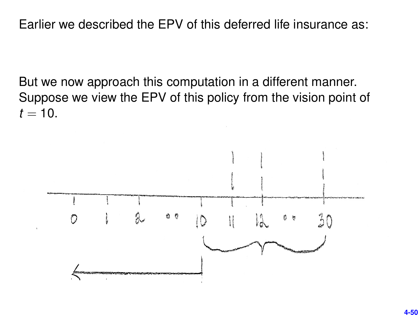Earlier we described the EPV of this deferred life insurance as:

But we now approach this computation in a different manner. Suppose we view the EPV of this policy from the vision point of  $t = 10$ .

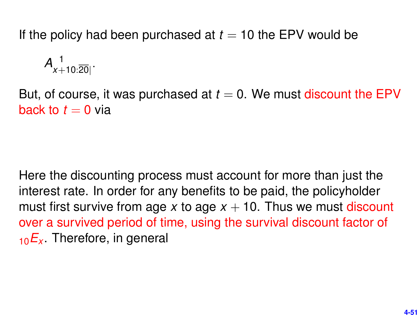If the policy had been purchased at  $t = 10$  the EPV would be

$$
A_{x+10:\overline{20}|}^{-1}.
$$

But, of course, it was purchased at  $t = 0$ . We must discount the EPV back to  $t = 0$  via

Here the discounting process must account for more than just the interest rate. In order for any benefits to be paid, the policyholder must first survive from age x to age  $x + 10$ . Thus we must discount over a survived period of time, using the survival discount factor of  $10E_x$ . Therefore, in general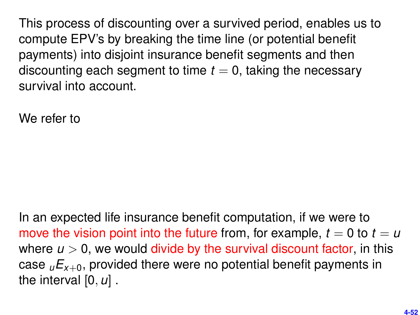This process of discounting over a survived period, enables us to compute EPV's by breaking the time line (or potential benefit payments) into disjoint insurance benefit segments and then discounting each segment to time  $t = 0$ , taking the necessary survival into account.

We refer to

In an expected life insurance benefit computation, if we were to move the vision point into the future from, for example,  $t = 0$  to  $t = u$ where  $u > 0$ , we would divide by the survival discount factor, in this case  $_{\nu}E_{x+0}$ , provided there were no potential benefit payments in the interval [0, *u*] .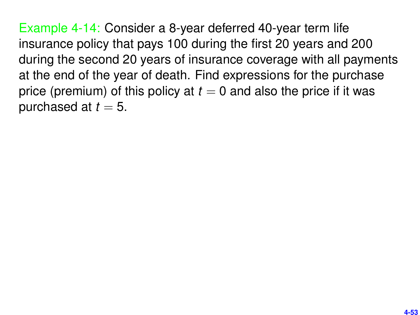Example 4-14: Consider a 8-year deferred 40-year term life insurance policy that pays 100 during the first 20 years and 200 during the second 20 years of insurance coverage with all payments at the end of the year of death. Find expressions for the purchase price (premium) of this policy at  $t = 0$  and also the price if it was purchased at  $t = 5$ .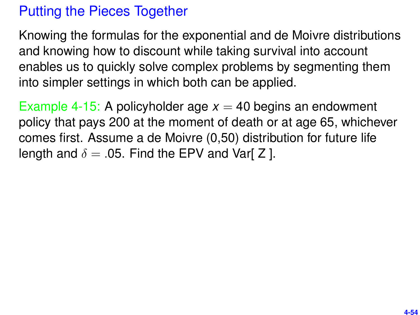# Putting the Pieces Together

Knowing the formulas for the exponential and de Moivre distributions and knowing how to discount while taking survival into account enables us to quickly solve complex problems by segmenting them into simpler settings in which both can be applied.

Example 4-15: A policyholder age  $x = 40$  begins an endowment policy that pays 200 at the moment of death or at age 65, whichever comes first. Assume a de Moivre (0,50) distribution for future life length and  $\delta = 0.05$ . Find the EPV and Vari Z l.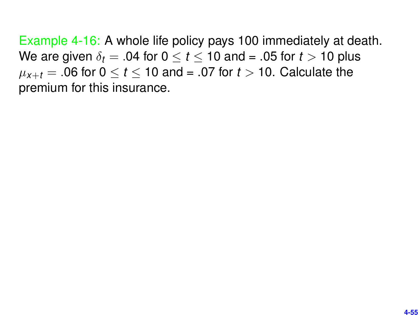Example 4-16: A whole life policy pays 100 immediately at death. We are given  $\delta_t = .04$  for  $0 \le t \le 10$  and = .05 for  $t > 10$  plus  $\mu_{X+t} = .06$  for  $0 \le t \le 10$  and = .07 for  $t > 10$ . Calculate the premium for this insurance.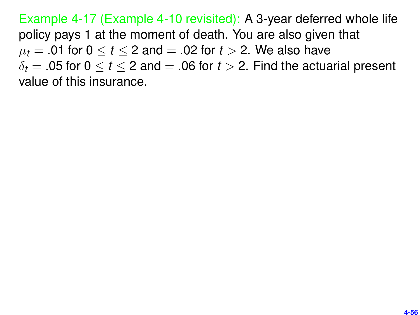Example 4-17 (Example 4-10 revisited): A 3-year deferred whole life policy pays 1 at the moment of death. You are also given that  $\mu_t = .01$  for  $0 \le t \le 2$  and  $= .02$  for  $t > 2$ . We also have  $\delta_t = .05$  for  $0 \le t \le 2$  and  $= .06$  for  $t > 2$ . Find the actuarial present value of this insurance.